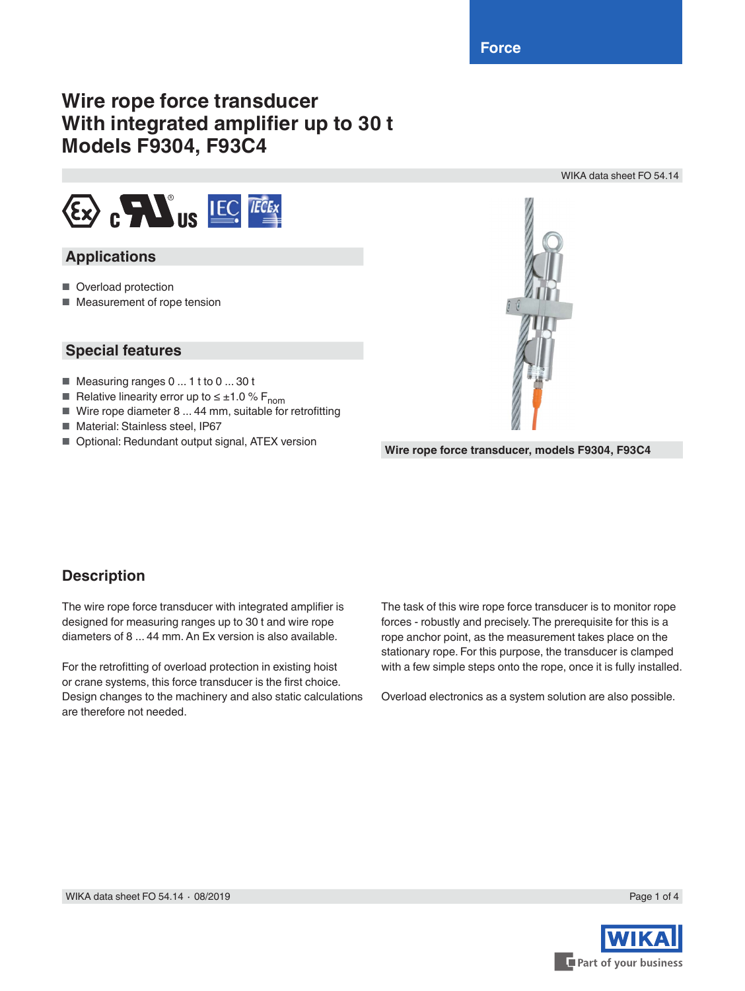# **Wire rope force transducer With integrated amplifier up to 30 t Models F9304, F93C4**



## **Applications**

- Overload protection
- Measurement of rope tension

### **Special features**

- Measuring ranges 0 ... 1 t to 0 ... 30 t
- Relative linearity error up to  $\leq \pm 1.0$  % F<sub>nom</sub>
- Wire rope diameter 8 ... 44 mm, suitable for retrofitting
- Material: Stainless steel, IP67
- 



WIKA data sheet FO 54.14

■ Optional: Redundant output signal, ATEX version **Wire rope force transducer, models F9304, F93C4** 

### **Description**

The wire rope force transducer with integrated amplifier is designed for measuring ranges up to 30 t and wire rope diameters of 8 ... 44 mm. An Ex version is also available.

For the retrofitting of overload protection in existing hoist or crane systems, this force transducer is the first choice. Design changes to the machinery and also static calculations are therefore not needed.

The task of this wire rope force transducer is to monitor rope forces - robustly and precisely. The prerequisite for this is a rope anchor point, as the measurement takes place on the stationary rope. For this purpose, the transducer is clamped with a few simple steps onto the rope, once it is fully installed.

Overload electronics as a system solution are also possible.

Part of your business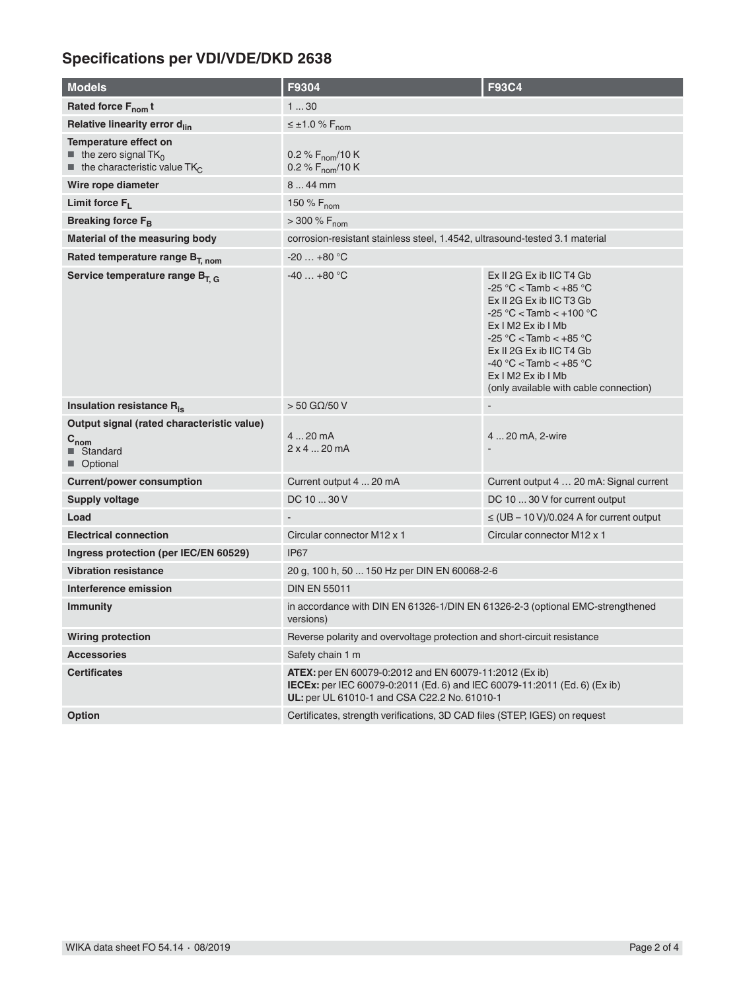# **Specifications per VDI/VDE/DKD 2638**

| <b>Models</b>                                                                                                                      | F9304                                                                                                                                                                                             | <b>F93C4</b>                                                                                                                                                                                                                                                                                      |
|------------------------------------------------------------------------------------------------------------------------------------|---------------------------------------------------------------------------------------------------------------------------------------------------------------------------------------------------|---------------------------------------------------------------------------------------------------------------------------------------------------------------------------------------------------------------------------------------------------------------------------------------------------|
| Rated force F <sub>nom</sub> t                                                                                                     | 130                                                                                                                                                                                               |                                                                                                                                                                                                                                                                                                   |
| Relative linearity error d <sub>lin</sub>                                                                                          | $\leq \pm 1.0 \% F_{\text{nom}}$                                                                                                                                                                  |                                                                                                                                                                                                                                                                                                   |
| Temperature effect on<br>$\blacksquare$ the zero signal TK <sub>0</sub><br>$\blacksquare$ the characteristic value TK <sub>C</sub> | 0.2 % $F_{\text{nom}}/10 K$<br>0.2 % F <sub>nom</sub> /10 K                                                                                                                                       |                                                                                                                                                                                                                                                                                                   |
| Wire rope diameter                                                                                                                 | 844 mm                                                                                                                                                                                            |                                                                                                                                                                                                                                                                                                   |
| Limit force $F_1$                                                                                                                  | 150 % $F_{nom}$                                                                                                                                                                                   |                                                                                                                                                                                                                                                                                                   |
| Breaking force F <sub>B</sub>                                                                                                      | $> 300 \% F_{nom}$                                                                                                                                                                                |                                                                                                                                                                                                                                                                                                   |
| Material of the measuring body                                                                                                     | corrosion-resistant stainless steel, 1.4542, ultrasound-tested 3.1 material                                                                                                                       |                                                                                                                                                                                                                                                                                                   |
| Rated temperature range B <sub>T. nom</sub>                                                                                        | $-20+80$ °C                                                                                                                                                                                       |                                                                                                                                                                                                                                                                                                   |
| Service temperature range B <sub>T, G</sub>                                                                                        | $-40+80$ °C                                                                                                                                                                                       | Ex II 2G Ex ib IIC T4 Gb<br>$-25$ °C < Tamb < $+85$ °C<br>Ex II 2G Ex ib IIC T3 Gb<br>$-25 °C <$ Tamb $< +100 °C$<br>$Ex$ I M2 Ex ib I Mb<br>$-25$ °C < Tamb < $+85$ °C<br>Ex II 2G Ex ib IIC T4 Gb<br>$-40$ °C < Tamb < $+85$ °C<br>Ex I M2 Ex ib I Mb<br>(only available with cable connection) |
| Insulation resistance R <sub>is</sub>                                                                                              | $>$ 50 G $\Omega$ /50 V                                                                                                                                                                           |                                                                                                                                                                                                                                                                                                   |
| Output signal (rated characteristic value)<br>$\mathtt{C_{nom}}$<br>■ Standard<br>Optional                                         | 4  20 mA<br>$2 \times 4$ 20 mA                                                                                                                                                                    | 4  20 mA, 2-wire                                                                                                                                                                                                                                                                                  |
| <b>Current/power consumption</b>                                                                                                   | Current output 4  20 mA                                                                                                                                                                           | Current output 4  20 mA: Signal current                                                                                                                                                                                                                                                           |
| Supply voltage                                                                                                                     | DC 10  30 V                                                                                                                                                                                       | DC 10  30 V for current output                                                                                                                                                                                                                                                                    |
| Load                                                                                                                               |                                                                                                                                                                                                   | $\leq$ (UB – 10 V)/0.024 A for current output                                                                                                                                                                                                                                                     |
| <b>Electrical connection</b>                                                                                                       | Circular connector M12 x 1                                                                                                                                                                        | Circular connector M12 x 1                                                                                                                                                                                                                                                                        |
| Ingress protection (per IEC/EN 60529)                                                                                              | <b>IP67</b>                                                                                                                                                                                       |                                                                                                                                                                                                                                                                                                   |
| <b>Vibration resistance</b>                                                                                                        | 20 g, 100 h, 50  150 Hz per DIN EN 60068-2-6                                                                                                                                                      |                                                                                                                                                                                                                                                                                                   |
| Interference emission                                                                                                              | <b>DIN EN 55011</b>                                                                                                                                                                               |                                                                                                                                                                                                                                                                                                   |
| <b>Immunity</b>                                                                                                                    | in accordance with DIN EN 61326-1/DIN EN 61326-2-3 (optional EMC-strengthened<br>versions)                                                                                                        |                                                                                                                                                                                                                                                                                                   |
| <b>Wiring protection</b>                                                                                                           | Reverse polarity and overvoltage protection and short-circuit resistance                                                                                                                          |                                                                                                                                                                                                                                                                                                   |
| <b>Accessories</b>                                                                                                                 | Safety chain 1 m                                                                                                                                                                                  |                                                                                                                                                                                                                                                                                                   |
| <b>Certificates</b>                                                                                                                | <b>ATEX:</b> per EN 60079-0:2012 and EN 60079-11:2012 (Ex ib)<br><b>IECEx:</b> per IEC 60079-0:2011 (Ed. 6) and IEC 60079-11:2011 (Ed. 6) (Ex ib)<br>UL: per UL 61010-1 and CSA C22.2 No. 61010-1 |                                                                                                                                                                                                                                                                                                   |
| Option                                                                                                                             | Certificates, strength verifications, 3D CAD files (STEP, IGES) on request                                                                                                                        |                                                                                                                                                                                                                                                                                                   |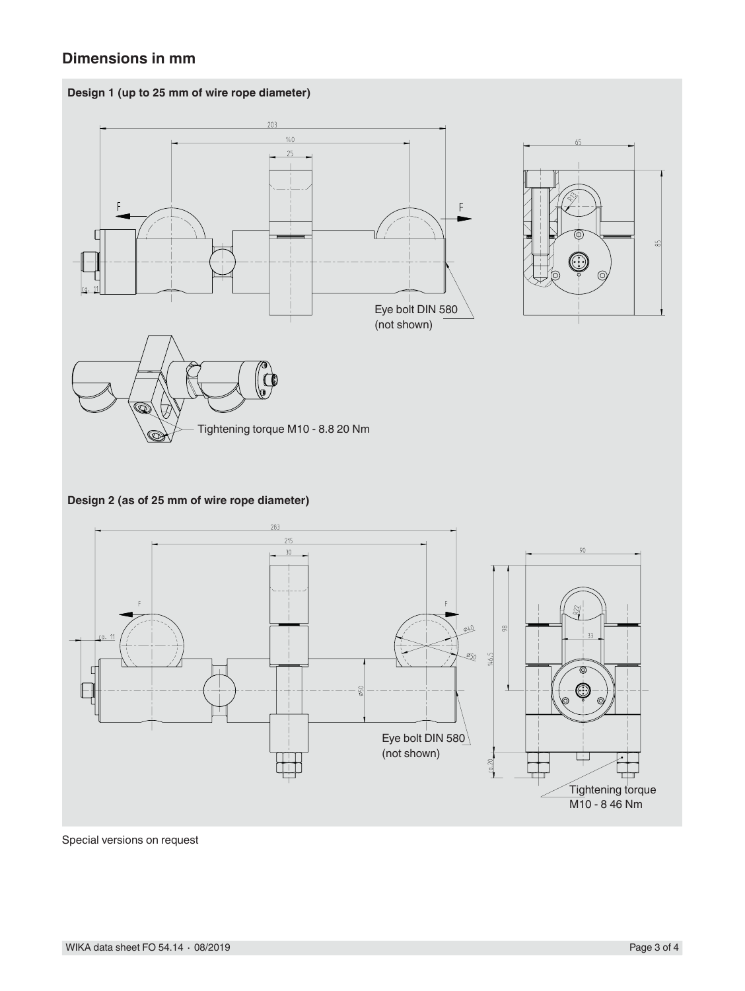## **Dimensions in mm**





#### **Design 2 (as of 25 mm of wire rope diameter)**



Special versions on request